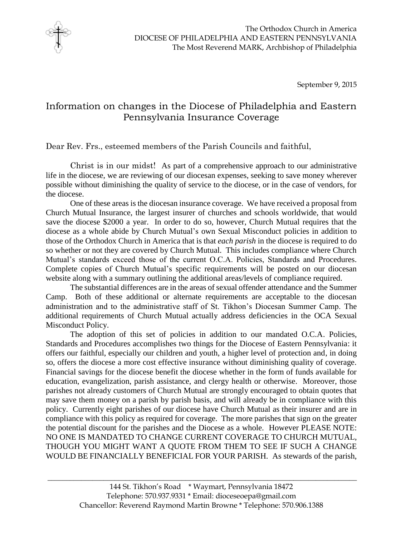

September 9, 2015

## Information on changes in the Diocese of Philadelphia and Eastern Pennsylvania Insurance Coverage

Dear Rev. Frs., esteemed members of the Parish Councils and faithful,

Christ is in our midst! As part of a comprehensive approach to our administrative life in the diocese, we are reviewing of our diocesan expenses, seeking to save money wherever possible without diminishing the quality of service to the diocese, or in the case of vendors, for the diocese.

One of these areas is the diocesan insurance coverage. We have received a proposal from Church Mutual Insurance, the largest insurer of churches and schools worldwide, that would save the diocese \$2000 a year. In order to do so, however, Church Mutual requires that the diocese as a whole abide by Church Mutual's own Sexual Misconduct policies in addition to those of the Orthodox Church in America that is that *each parish* in the diocese is required to do so whether or not they are covered by Church Mutual. This includes compliance where Church Mutual's standards exceed those of the current O.C.A. Policies, Standards and Procedures. Complete copies of Church Mutual's specific requirements will be posted on our diocesan website along with a summary outlining the additional areas/levels of compliance required.

The substantial differences are in the areas of sexual offender attendance and the Summer Camp. Both of these additional or alternate requirements are acceptable to the diocesan administration and to the administrative staff of St. Tikhon's Diocesan Summer Camp. The additional requirements of Church Mutual actually address deficiencies in the OCA Sexual Misconduct Policy.

The adoption of this set of policies in addition to our mandated O.C.A. Policies, Standards and Procedures accomplishes two things for the Diocese of Eastern Pennsylvania: it offers our faithful, especially our children and youth, a higher level of protection and, in doing so, offers the diocese a more cost effective insurance without diminishing quality of coverage. Financial savings for the diocese benefit the diocese whether in the form of funds available for education, evangelization, parish assistance, and clergy health or otherwise. Moreover, those parishes not already customers of Church Mutual are strongly encouraged to obtain quotes that may save them money on a parish by parish basis, and will already be in compliance with this policy. Currently eight parishes of our diocese have Church Mutual as their insurer and are in compliance with this policy as required for coverage. The more parishes that sign on the greater the potential discount for the parishes and the Diocese as a whole. However PLEASE NOTE: NO ONE IS MANDATED TO CHANGE CURRENT COVERAGE TO CHURCH MUTUAL, THOUGH YOU MIGHT WANT A QUOTE FROM THEM TO SEE IF SUCH A CHANGE WOULD BE FINANCIALLY BENEFICIAL FOR YOUR PARISH. As stewards of the parish,

\_\_\_\_\_\_\_\_\_\_\_\_\_\_\_\_\_\_\_\_\_\_\_\_\_\_\_\_\_\_\_\_\_\_\_\_\_\_\_\_\_\_\_\_\_\_\_\_\_\_\_\_\_\_\_\_\_\_\_\_\_\_\_\_\_\_\_\_\_\_\_\_\_\_\_\_\_\_\_\_\_\_\_